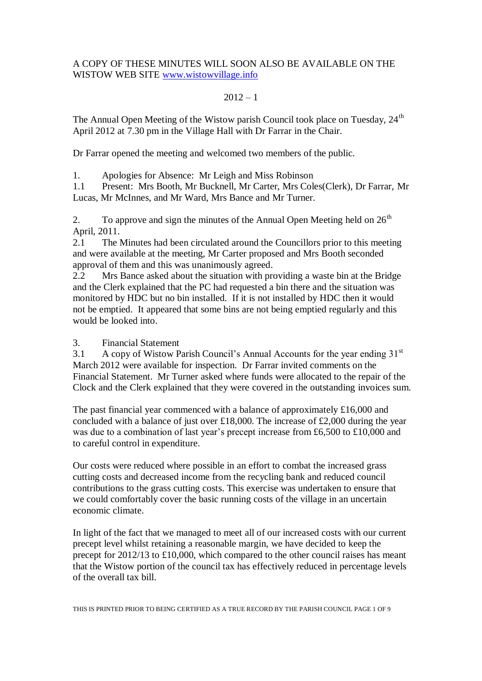# A COPY OF THESE MINUTES WILL SOON ALSO BE AVAILABLE ON THE WISTOW WEB SITE [www.wistowvillage.info](http://www.wistowvillage.info/)

#### $2012 - 1$

The Annual Open Meeting of the Wistow parish Council took place on Tuesday, 24<sup>th</sup> April 2012 at 7.30 pm in the Village Hall with Dr Farrar in the Chair.

Dr Farrar opened the meeting and welcomed two members of the public.

1. Apologies for Absence: Mr Leigh and Miss Robinson

1.1 Present: Mrs Booth, Mr Bucknell, Mr Carter, Mrs Coles(Clerk), Dr Farrar, Mr Lucas, Mr McInnes, and Mr Ward, Mrs Bance and Mr Turner.

2. To approve and sign the minutes of the Annual Open Meeting held on  $26<sup>th</sup>$ April, 2011.

2.1 The Minutes had been circulated around the Councillors prior to this meeting and were available at the meeting, Mr Carter proposed and Mrs Booth seconded approval of them and this was unanimously agreed.

2.2 Mrs Bance asked about the situation with providing a waste bin at the Bridge and the Clerk explained that the PC had requested a bin there and the situation was monitored by HDC but no bin installed. If it is not installed by HDC then it would not be emptied. It appeared that some bins are not being emptied regularly and this would be looked into.

3. Financial Statement

3.1 A copy of Wistow Parish Council's Annual Accounts for the year ending 31<sup>st</sup> March 2012 were available for inspection. Dr Farrar invited comments on the Financial Statement. Mr Turner asked where funds were allocated to the repair of the Clock and the Clerk explained that they were covered in the outstanding invoices sum.

The past financial year commenced with a balance of approximately £16,000 and concluded with a balance of just over £18,000. The increase of £2,000 during the year was due to a combination of last year's precept increase from £6,500 to £10,000 and to careful control in expenditure.

Our costs were reduced where possible in an effort to combat the increased grass cutting costs and decreased income from the recycling bank and reduced council contributions to the grass cutting costs. This exercise was undertaken to ensure that we could comfortably cover the basic running costs of the village in an uncertain economic climate.

In light of the fact that we managed to meet all of our increased costs with our current precept level whilst retaining a reasonable margin, we have decided to keep the precept for 2012/13 to £10,000, which compared to the other council raises has meant that the Wistow portion of the council tax has effectively reduced in percentage levels of the overall tax bill.

THIS IS PRINTED PRIOR TO BEING CERTIFIED AS A TRUE RECORD BY THE PARISH COUNCIL PAGE 1 OF 9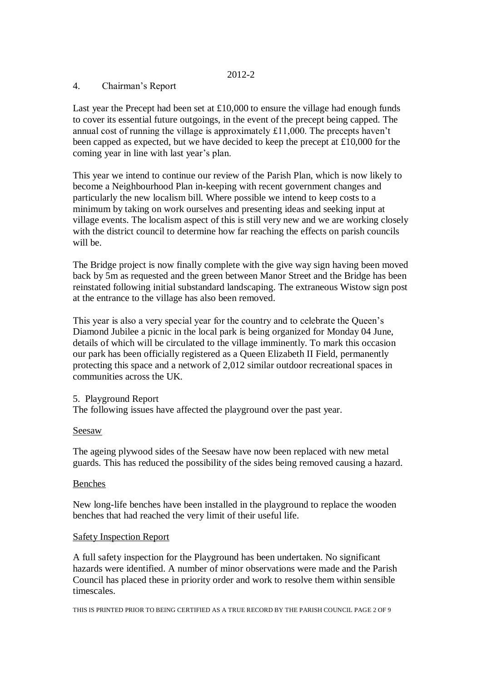## 4. Chairman's Report

Last year the Precept had been set at  $£10,000$  to ensure the village had enough funds to cover its essential future outgoings, in the event of the precept being capped. The annual cost of running the village is approximately £11,000. The precepts haven't been capped as expected, but we have decided to keep the precept at £10,000 for the coming year in line with last year's plan.

This year we intend to continue our review of the Parish Plan, which is now likely to become a Neighbourhood Plan in-keeping with recent government changes and particularly the new localism bill. Where possible we intend to keep costs to a minimum by taking on work ourselves and presenting ideas and seeking input at village events. The localism aspect of this is still very new and we are working closely with the district council to determine how far reaching the effects on parish councils will be.

The Bridge project is now finally complete with the give way sign having been moved back by 5m as requested and the green between Manor Street and the Bridge has been reinstated following initial substandard landscaping. The extraneous Wistow sign post at the entrance to the village has also been removed.

This year is also a very special year for the country and to celebrate the Queen's Diamond Jubilee a picnic in the local park is being organized for Monday 04 June, details of which will be circulated to the village imminently. To mark this occasion our park has been officially registered as a Queen Elizabeth II Field, permanently protecting this space and a network of 2,012 similar outdoor recreational spaces in communities across the UK.

### 5. Playground Report

The following issues have affected the playground over the past year.

### Seesaw

The ageing plywood sides of the Seesaw have now been replaced with new metal guards. This has reduced the possibility of the sides being removed causing a hazard.

### Benches

New long-life benches have been installed in the playground to replace the wooden benches that had reached the very limit of their useful life.

### Safety Inspection Report

A full safety inspection for the Playground has been undertaken. No significant hazards were identified. A number of minor observations were made and the Parish Council has placed these in priority order and work to resolve them within sensible timescales.

THIS IS PRINTED PRIOR TO BEING CERTIFIED AS A TRUE RECORD BY THE PARISH COUNCIL PAGE 2 OF 9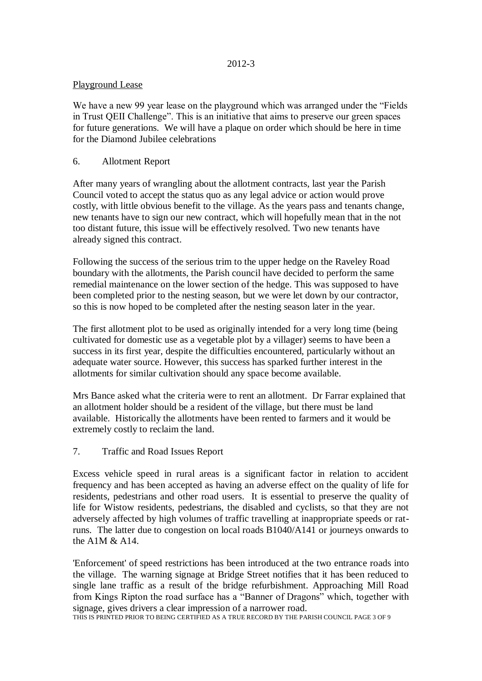## Playground Lease

We have a new 99 year lease on the playground which was arranged under the "Fields in Trust QEII Challenge". This is an initiative that aims to preserve our green spaces for future generations. We will have a plaque on order which should be here in time for the Diamond Jubilee celebrations

# 6. Allotment Report

After many years of wrangling about the allotment contracts, last year the Parish Council voted to accept the status quo as any legal advice or action would prove costly, with little obvious benefit to the village. As the years pass and tenants change, new tenants have to sign our new contract, which will hopefully mean that in the not too distant future, this issue will be effectively resolved. Two new tenants have already signed this contract.

Following the success of the serious trim to the upper hedge on the Raveley Road boundary with the allotments, the Parish council have decided to perform the same remedial maintenance on the lower section of the hedge. This was supposed to have been completed prior to the nesting season, but we were let down by our contractor, so this is now hoped to be completed after the nesting season later in the year.

The first allotment plot to be used as originally intended for a very long time (being cultivated for domestic use as a vegetable plot by a villager) seems to have been a success in its first year, despite the difficulties encountered, particularly without an adequate water source. However, this success has sparked further interest in the allotments for similar cultivation should any space become available.

Mrs Bance asked what the criteria were to rent an allotment. Dr Farrar explained that an allotment holder should be a resident of the village, but there must be land available. Historically the allotments have been rented to farmers and it would be extremely costly to reclaim the land.

# 7. Traffic and Road Issues Report

Excess vehicle speed in rural areas is a significant factor in relation to accident frequency and has been accepted as having an adverse effect on the quality of life for residents, pedestrians and other road users. It is essential to preserve the quality of life for Wistow residents, pedestrians, the disabled and cyclists, so that they are not adversely affected by high volumes of traffic travelling at inappropriate speeds or ratruns. The latter due to congestion on local roads B1040/A141 or journeys onwards to the A1M  $\&$  A14.

'Enforcement' of speed restrictions has been introduced at the two entrance roads into the village. The warning signage at Bridge Street notifies that it has been reduced to single lane traffic as a result of the bridge refurbishment. Approaching Mill Road from Kings Ripton the road surface has a "Banner of Dragons" which, together with signage, gives drivers a clear impression of a narrower road.

THIS IS PRINTED PRIOR TO BEING CERTIFIED AS A TRUE RECORD BY THE PARISH COUNCIL PAGE 3 OF 9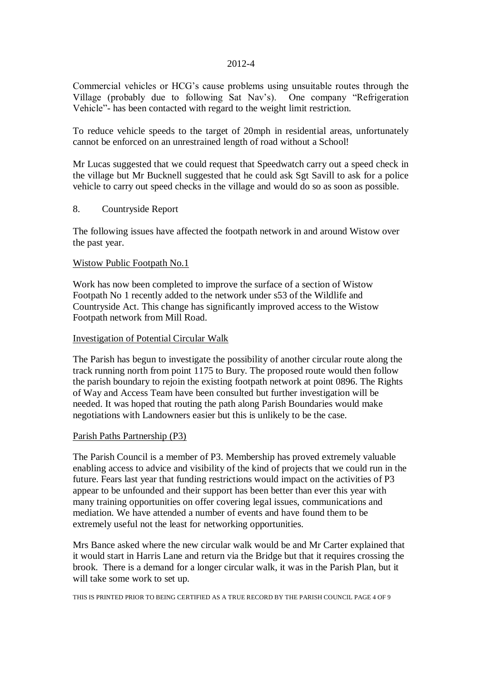Commercial vehicles or HCG's cause problems using unsuitable routes through the Village (probably due to following Sat Nav's). One company "Refrigeration Vehicle"- has been contacted with regard to the weight limit restriction.

To reduce vehicle speeds to the target of 20mph in residential areas, unfortunately cannot be enforced on an unrestrained length of road without a School!

Mr Lucas suggested that we could request that Speedwatch carry out a speed check in the village but Mr Bucknell suggested that he could ask Sgt Savill to ask for a police vehicle to carry out speed checks in the village and would do so as soon as possible.

### 8. Countryside Report

The following issues have affected the footpath network in and around Wistow over the past year.

#### Wistow Public Footpath No.1

Work has now been completed to improve the surface of a section of Wistow Footpath No 1 recently added to the network under s53 of the Wildlife and Countryside Act. This change has significantly improved access to the Wistow Footpath network from Mill Road.

#### Investigation of Potential Circular Walk

The Parish has begun to investigate the possibility of another circular route along the track running north from point 1175 to Bury. The proposed route would then follow the parish boundary to rejoin the existing footpath network at point 0896. The Rights of Way and Access Team have been consulted but further investigation will be needed. It was hoped that routing the path along Parish Boundaries would make negotiations with Landowners easier but this is unlikely to be the case.

#### Parish Paths Partnership (P3)

The Parish Council is a member of P3. Membership has proved extremely valuable enabling access to advice and visibility of the kind of projects that we could run in the future. Fears last year that funding restrictions would impact on the activities of P3 appear to be unfounded and their support has been better than ever this year with many training opportunities on offer covering legal issues, communications and mediation. We have attended a number of events and have found them to be extremely useful not the least for networking opportunities.

Mrs Bance asked where the new circular walk would be and Mr Carter explained that it would start in Harris Lane and return via the Bridge but that it requires crossing the brook. There is a demand for a longer circular walk, it was in the Parish Plan, but it will take some work to set up.

THIS IS PRINTED PRIOR TO BEING CERTIFIED AS A TRUE RECORD BY THE PARISH COUNCIL PAGE 4 OF 9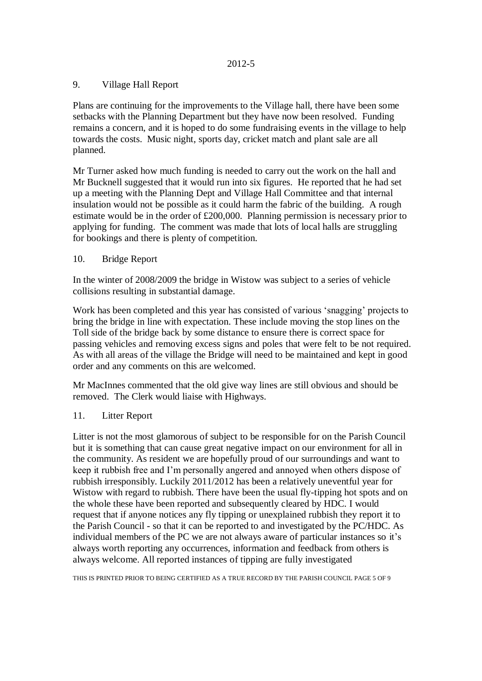## 9. Village Hall Report

Plans are continuing for the improvements to the Village hall, there have been some setbacks with the Planning Department but they have now been resolved. Funding remains a concern, and it is hoped to do some fundraising events in the village to help towards the costs. Music night, sports day, cricket match and plant sale are all planned.

Mr Turner asked how much funding is needed to carry out the work on the hall and Mr Bucknell suggested that it would run into six figures. He reported that he had set up a meeting with the Planning Dept and Village Hall Committee and that internal insulation would not be possible as it could harm the fabric of the building. A rough estimate would be in the order of £200,000. Planning permission is necessary prior to applying for funding. The comment was made that lots of local halls are struggling for bookings and there is plenty of competition.

# 10. Bridge Report

In the winter of 2008/2009 the bridge in Wistow was subject to a series of vehicle collisions resulting in substantial damage.

Work has been completed and this year has consisted of various 'snagging' projects to bring the bridge in line with expectation. These include moving the stop lines on the Toll side of the bridge back by some distance to ensure there is correct space for passing vehicles and removing excess signs and poles that were felt to be not required. As with all areas of the village the Bridge will need to be maintained and kept in good order and any comments on this are welcomed.

Mr MacInnes commented that the old give way lines are still obvious and should be removed. The Clerk would liaise with Highways.

# 11. Litter Report

Litter is not the most glamorous of subject to be responsible for on the Parish Council but it is something that can cause great negative impact on our environment for all in the community. As resident we are hopefully proud of our surroundings and want to keep it rubbish free and I'm personally angered and annoyed when others dispose of rubbish irresponsibly. Luckily 2011/2012 has been a relatively uneventful year for Wistow with regard to rubbish. There have been the usual fly-tipping hot spots and on the whole these have been reported and subsequently cleared by HDC. I would request that if anyone notices any fly tipping or unexplained rubbish they report it to the Parish Council - so that it can be reported to and investigated by the PC/HDC. As individual members of the PC we are not always aware of particular instances so it's always worth reporting any occurrences, information and feedback from others is always welcome. All reported instances of tipping are fully investigated

THIS IS PRINTED PRIOR TO BEING CERTIFIED AS A TRUE RECORD BY THE PARISH COUNCIL PAGE 5 OF 9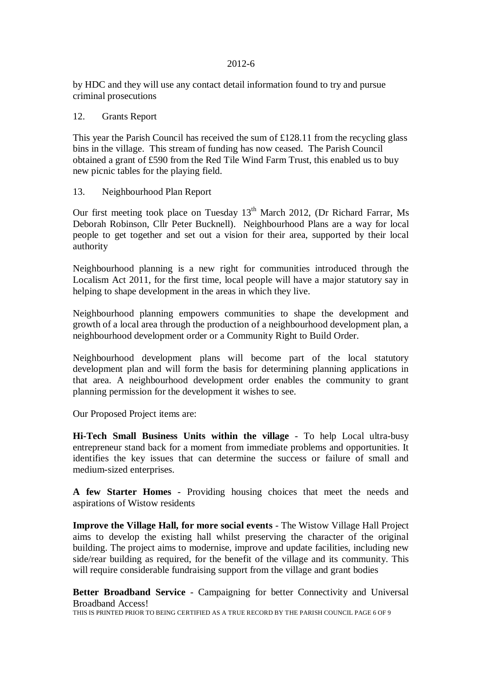by HDC and they will use any contact detail information found to try and pursue criminal prosecutions

#### 12. Grants Report

This year the Parish Council has received the sum of £128.11 from the recycling glass bins in the village. This stream of funding has now ceased. The Parish Council obtained a grant of £590 from the Red Tile Wind Farm Trust, this enabled us to buy new picnic tables for the playing field.

#### 13. Neighbourhood Plan Report

Our first meeting took place on Tuesday  $13<sup>th</sup>$  March 2012, (Dr Richard Farrar, Ms Deborah Robinson, Cllr Peter Bucknell). Neighbourhood Plans are a way for local people to get together and set out a vision for their area, supported by their local authority

Neighbourhood planning is a new right for communities introduced through the Localism Act 2011, for the first time, local people will have a major statutory say in helping to shape development in the areas in which they live.

Neighbourhood planning empowers communities to shape the development and growth of a local area through the production of a neighbourhood development plan, a neighbourhood development order or a Community Right to Build Order.

Neighbourhood development plans will become part of the local statutory development plan and will form the basis for determining planning applications in that area. A neighbourhood development order enables the community to grant planning permission for the development it wishes to see.

Our Proposed Project items are:

**Hi-Tech Small Business Units within the village** - To help Local ultra-busy entrepreneur stand back for a moment from immediate problems and opportunities. It identifies the key issues that can determine the success or failure of small and medium-sized enterprises.

**A few Starter Homes** - Providing housing choices that meet the needs and aspirations of Wistow residents

**Improve the Village Hall, for more social events** - The Wistow Village Hall Project aims to develop the existing hall whilst preserving the character of the original building. The project aims to modernise, improve and update facilities, including new side/rear building as required, for the benefit of the village and its community. This will require considerable fundraising support from the village and grant bodies

**Better Broadband Service** - Campaigning for better Connectivity and Universal Broadband Access!

THIS IS PRINTED PRIOR TO BEING CERTIFIED AS A TRUE RECORD BY THE PARISH COUNCIL PAGE 6 OF 9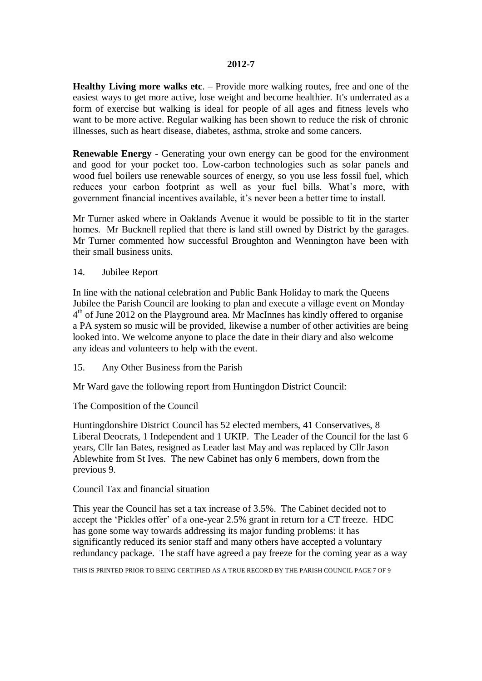**Healthy Living more walks etc**. – Provide more walking routes, free and one of the easiest ways to get more active, lose weight and become healthier. It's underrated as a form of exercise but walking is ideal for people of all ages and fitness levels who want to be more active. Regular walking has been shown to reduce the risk of chronic illnesses, such as heart disease, diabetes, asthma, stroke and some cancers.

**Renewable Energy** - Generating your own energy can be good for the environment and good for your pocket too. Low-carbon technologies such as solar panels and wood fuel boilers use renewable sources of energy, so you use less fossil fuel, which reduces your carbon footprint as well as your fuel bills. What's more, with government financial incentives available, it's never been a better time to install.

Mr Turner asked where in Oaklands Avenue it would be possible to fit in the starter homes. Mr Bucknell replied that there is land still owned by District by the garages. Mr Turner commented how successful Broughton and Wennington have been with their small business units.

14. Jubilee Report

In line with the national celebration and Public Bank Holiday to mark the Queens Jubilee the Parish Council are looking to plan and execute a village event on Monday 4<sup>th</sup> of June 2012 on the Playground area. Mr MacInnes has kindly offered to organise a PA system so music will be provided, likewise a number of other activities are being looked into. We welcome anyone to place the date in their diary and also welcome any ideas and volunteers to help with the event.

15. Any Other Business from the Parish

Mr Ward gave the following report from Huntingdon District Council:

The Composition of the Council

Huntingdonshire District Council has 52 elected members, 41 Conservatives, 8 Liberal Deocrats, 1 Independent and 1 UKIP. The Leader of the Council for the last 6 years, Cllr Ian Bates, resigned as Leader last May and was replaced by Cllr Jason Ablewhite from St Ives. The new Cabinet has only 6 members, down from the previous 9.

#### Council Tax and financial situation

This year the Council has set a tax increase of 3.5%. The Cabinet decided not to accept the 'Pickles offer' of a one-year 2.5% grant in return for a CT freeze. HDC has gone some way towards addressing its major funding problems: it has significantly reduced its senior staff and many others have accepted a voluntary redundancy package. The staff have agreed a pay freeze for the coming year as a way

THIS IS PRINTED PRIOR TO BEING CERTIFIED AS A TRUE RECORD BY THE PARISH COUNCIL PAGE 7 OF 9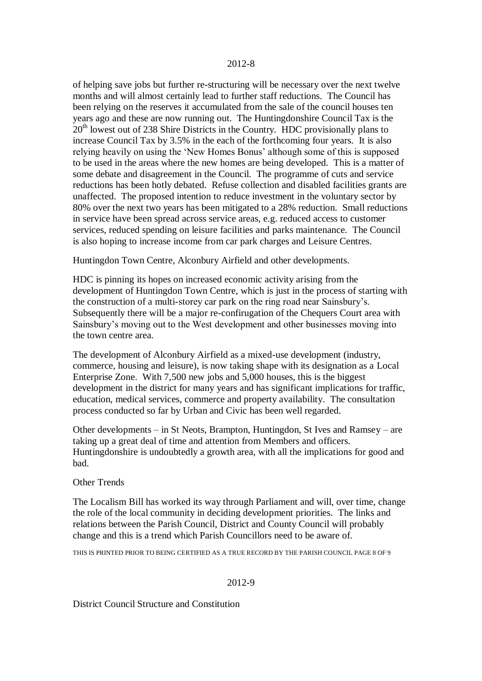of helping save jobs but further re-structuring will be necessary over the next twelve months and will almost certainly lead to further staff reductions. The Council has been relying on the reserves it accumulated from the sale of the council houses ten years ago and these are now running out. The Huntingdonshire Council Tax is the 20<sup>th</sup> lowest out of 238 Shire Districts in the Country. HDC provisionally plans to increase Council Tax by 3.5% in the each of the forthcoming four years. It is also relying heavily on using the 'New Homes Bonus' although some of this is supposed to be used in the areas where the new homes are being developed. This is a matter of some debate and disagreement in the Council. The programme of cuts and service reductions has been hotly debated. Refuse collection and disabled facilities grants are unaffected. The proposed intention to reduce investment in the voluntary sector by 80% over the next two years has been mitigated to a 28% reduction. Small reductions in service have been spread across service areas, e.g. reduced access to customer services, reduced spending on leisure facilities and parks maintenance. The Council is also hoping to increase income from car park charges and Leisure Centres.

Huntingdon Town Centre, Alconbury Airfield and other developments.

HDC is pinning its hopes on increased economic activity arising from the development of Huntingdon Town Centre, which is just in the process of starting with the construction of a multi-storey car park on the ring road near Sainsbury's. Subsequently there will be a major re-confirugation of the Chequers Court area with Sainsbury's moving out to the West development and other businesses moving into the town centre area.

The development of Alconbury Airfield as a mixed-use development (industry, commerce, housing and leisure), is now taking shape with its designation as a Local Enterprise Zone. With 7,500 new jobs and 5,000 houses, this is the biggest development in the district for many years and has significant implications for traffic, education, medical services, commerce and property availability. The consultation process conducted so far by Urban and Civic has been well regarded.

Other developments – in St Neots, Brampton, Huntingdon, St Ives and Ramsey – are taking up a great deal of time and attention from Members and officers. Huntingdonshire is undoubtedly a growth area, with all the implications for good and bad.

#### Other Trends

The Localism Bill has worked its way through Parliament and will, over time, change the role of the local community in deciding development priorities. The links and relations between the Parish Council, District and County Council will probably change and this is a trend which Parish Councillors need to be aware of.

THIS IS PRINTED PRIOR TO BEING CERTIFIED AS A TRUE RECORD BY THE PARISH COUNCIL PAGE 8 OF 9

#### 2012-9

District Council Structure and Constitution